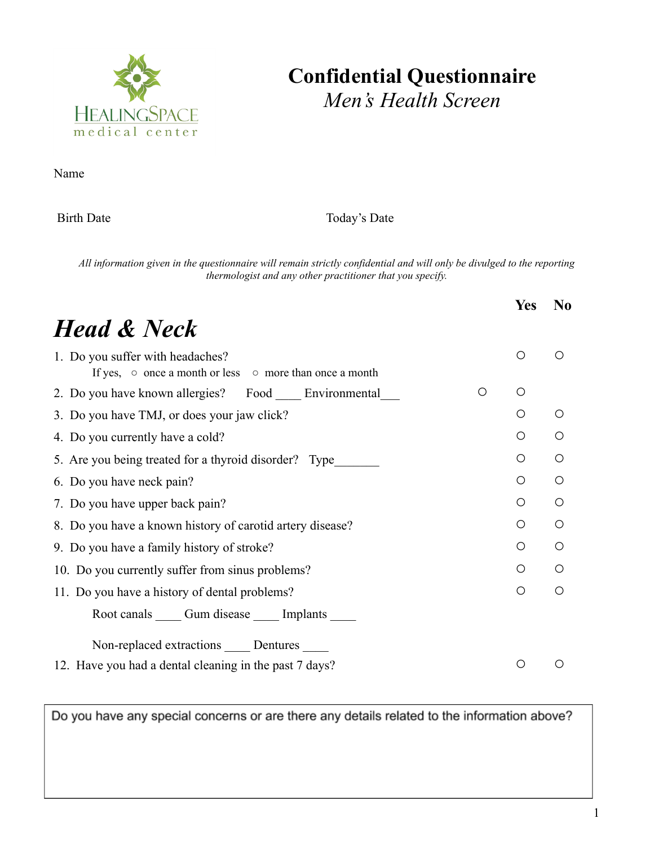

## **Confidential Questionnaire** *Men's Health Screen*

Name

Birth Date Today's Date

All information given in the questionnaire will remain strictly confidential and will only be divulged to the reporting *thermologist and any other practitioner that you specify.*

|                                                                                                         |   | <b>Yes</b>       | N <sub>0</sub> |  |
|---------------------------------------------------------------------------------------------------------|---|------------------|----------------|--|
| <b>Head &amp; Neck</b>                                                                                  |   |                  |                |  |
| 1. Do you suffer with headaches?<br>If yes, $\circ$ once a month or less $\circ$ more than once a month |   | $\circ$          | ∩              |  |
| 2. Do you have known allergies? Food Environmental                                                      | O | O                |                |  |
| 3. Do you have TMJ, or does your jaw click?                                                             |   | O                | $\bigcirc$     |  |
| 4. Do you currently have a cold?                                                                        |   | Ο                | $\bigcirc$     |  |
| 5. Are you being treated for a thyroid disorder? Type                                                   |   | $\bigcirc$       | $\bigcirc$     |  |
| 6. Do you have neck pain?                                                                               |   | O                | O              |  |
| 7. Do you have upper back pain?                                                                         |   | O                | Ω              |  |
| 8. Do you have a known history of carotid artery disease?                                               |   | O                | $\bigcirc$     |  |
| 9. Do you have a family history of stroke?                                                              |   |                  |                |  |
| 10. Do you currently suffer from sinus problems?                                                        |   | O                | $\bigcirc$     |  |
| 11. Do you have a history of dental problems?                                                           |   |                  |                |  |
| Root canals Cum disease Cumplants                                                                       |   |                  |                |  |
| Non-replaced extractions _____ Dentures _____                                                           |   |                  |                |  |
| 12. Have you had a dental cleaning in the past 7 days?                                                  |   | $\left( \right)$ |                |  |

Do you have any special concerns or are there any details related to the information above?